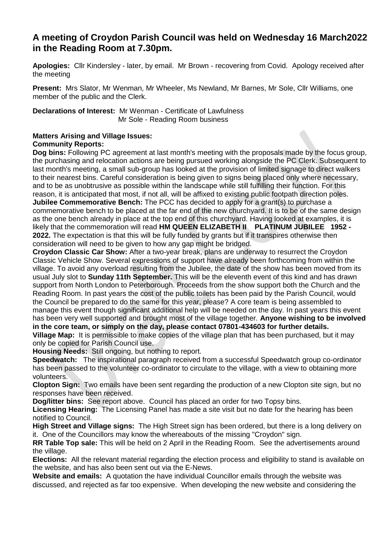# **A meeting of Croydon Parish Council was held on Wednesday 16 March2022 in the Reading Room at 7.30pm.**

**Apologies:** Cllr Kindersley - later, by email. Mr Brown - recovering from Covid. Apology received after the meeting

**Present:** Mrs Slator, Mr Wenman, Mr Wheeler, Ms Newland, Mr Barnes, Mr Sole, Cllr Williams, one member of the public and the Clerk.

**Declarations of Interest:** Mr Wenman - Certificate of Lawfulness Mr Sole - Reading Room business

#### **Matters Arising and Village Issues: Community Reports:**

**Dog bins:** Following PC agreement at last month's meeting with the proposals made by the focus group, the purchasing and relocation actions are being pursued working alongside the PC Clerk. Subsequent to last month's meeting, a small sub-group has looked at the provision of limited signage to direct walkers to their nearest bins. Careful consideration is being given to signs being placed only where necessary, and to be as unobtrusive as possible within the landscape while still fulfilling their function. For this reason, it is anticipated that most, if not all, will be affixed to existing public footpath direction poles. **Jubilee Commemorative Bench:** The PCC has decided to apply for a grant(s) to purchase a commemorative bench to be placed at the far end of the new churchyard. It is to be of the same design as the one bench already in place at the top end of this churchyard. Having looked at examples, it is likely that the commemoration will read **HM QUEEN ELIZABETH II PLATINUM JUBILEE 1952 - 2022.** The expectation is that this will be fully funded by grants but if it transpires otherwise then consideration will need to be given to how any gap might be bridged.

**Croydon Classic Car Show:** After a two-year break, plans are underway to resurrect the Croydon Classic Vehicle Show. Several expressions of support have already been forthcoming from within the village. To avoid any overload resulting from the Jubilee, the date of the show has been moved from its usual July slot to **Sunday 11th September.** This will be the eleventh event of this kind and has drawn support from North London to Peterborough. Proceeds from the show support both the Church and the Reading Room. In past years the cost of the public toilets has been paid by the Parish Council, would the Council be prepared to do the same for this year, please? A core team is being assembled to manage this event though significant additional help will be needed on the day. In past years this event has been very well supported and brought most of the village together. **Anyone wishing to be involved in the core team, or simply on the day, please contact 07801-434603 for further details. Village Map:** It is permissible to make copies of the village plan that has been purchased, but it may

only be copied for Parish Council use.

**Housing Needs:** Still ongoing, but nothing to report.

**Speedwatch:** The inspirational paragraph received from a successful Speedwatch group co-ordinator has been passed to the volunteer co-ordinator to circulate to the village, with a view to obtaining more volunteers.

**Clopton Sign:** Two emails have been sent regarding the production of a new Clopton site sign, but no responses have been received.

**Dog/litter bins:** See report above. Council has placed an order for two Topsy bins.

**Licensing Hearing:** The Licensing Panel has made a site visit but no date for the hearing has been notified to Council.

**High Street and Village signs:** The High Street sign has been ordered, but there is a long delivery on it. One of the Councillors may know the whereabouts of the missing "Croydon" sign.

**RR Table Top sale:** This will be held on 2 April in the Reading Room. See the advertisements around the village.

**Elections:** All the relevant material regarding the election process and eligibility to stand is available on the website, and has also been sent out via the E-News.

**Website and emails:** A quotation the have individual Councillor emails through the website was discussed, and rejected as far too expensive. When developing the new website and considering the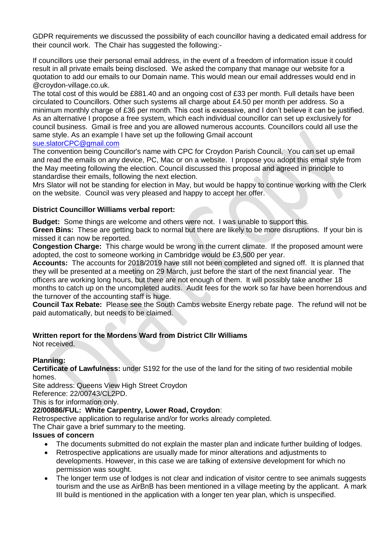GDPR requirements we discussed the possibility of each councillor having a dedicated email address for their council work. The Chair has suggested the following:-

If councillors use their personal email address, in the event of a freedom of information issue it could result in all private emails being disclosed. We asked the company that manage our website for a quotation to add our emails to our Domain name. This would mean our email addresses would end in @croydon-village.co.uk.

The total cost of this would be £881.40 and an ongoing cost of £33 per month. Full details have been circulated to Councillors. Other such systems all charge about £4.50 per month per address. So a minimum monthly charge of £36 per month. This cost is excessive, and I don't believe it can be justified. As an alternative I propose a free system, which each individual councillor can set up exclusively for council business. Gmail is free and you are allowed numerous accounts. Councillors could all use the same style. As an example I have set up the following Gmail account

#### [sue.slatorCPC@gmail.com](mailto:sue.slatorCPC@gmail.com)

The convention being Councillor's name with CPC for Croydon Parish Council. You can set up email and read the emails on any device, PC, Mac or on a website. I propose you adopt this email style from the May meeting following the election. Council discussed this proposal and agreed in principle to standardise their emails, following the next election.

Mrs Slator will not be standing for election in May, but would be happy to continue working with the Clerk on the website. Council was very pleased and happy to accept her offer.

### **District Councillor Williams verbal report:**

**Budget:** Some things are welcome and others were not. I was unable to support this.

**Green Bins:** These are getting back to normal but there are likely to be more disruptions. If your bin is missed it can now be reported.

**Congestion Charge:** This charge would be wrong in the current climate. If the proposed amount were adopted, the cost to someone working in Cambridge would be £3,500 per year.

**Accounts:** The accounts for 2018/2019 have still not been completed and signed off. It is planned that they will be presented at a meeting on 29 March, just before the start of the next financial year. The officers are working long hours, but there are not enough of them. It will possibly take another 18 months to catch up on the uncompleted audits. Audit fees for the work so far have been horrendous and the turnover of the accounting staff is huge.

**Council Tax Rebate:** Please see the South Cambs website Energy rebate page. The refund will not be paid automatically, but needs to be claimed.

### **Written report for the Mordens Ward from District Cllr Williams**

Not received.

### **Planning:**

**Certificate of Lawfulness:** under S192 for the use of the land for the siting of two residential mobile homes.

Site address: Queens View High Street Croydon

Reference: 22/00743/CL2PD.

This is for information only.

### **22/00886/FUL: White Carpentry, Lower Road, Croydon**:

Retrospective application to regularise and/or for works already completed.

The Chair gave a brief summary to the meeting.

### **Issues of concern**

- The documents submitted do not explain the master plan and indicate further building of lodges.
- Retrospective applications are usually made for minor alterations and adjustments to developments. However, in this case we are talking of extensive development for which no permission was sought.
- The longer term use of lodges is not clear and indication of visitor centre to see animals suggests tourism and the use as AirBnB has been mentioned in a village meeting by the applicant. A mark III build is mentioned in the application with a longer ten year plan, which is unspecified.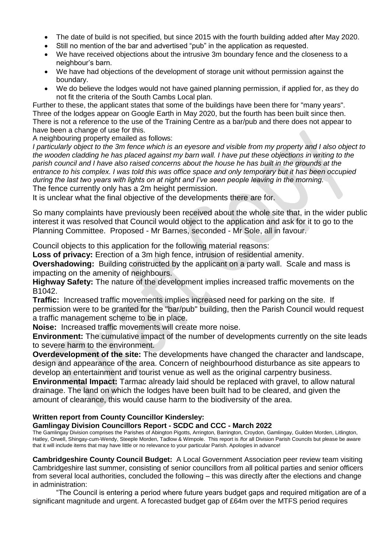- The date of build is not specified, but since 2015 with the fourth building added after May 2020.
- Still no mention of the bar and advertised "pub" in the application as requested.
- We have received objections about the intrusive 3m boundary fence and the closeness to a neighbour's barn.
- We have had objections of the development of storage unit without permission against the boundary.
- We do believe the lodges would not have gained planning permission, if applied for, as they do not fit the criteria of the South Cambs Local plan.

Further to these, the applicant states that some of the buildings have been there for "many years". Three of the lodges appear on Google Earth in May 2020, but the fourth has been built since then. There is not a reference to the use of the Training Centre as a bar/pub and there does not appear to have been a change of use for this.

A neighbouring property emailed as follows:

*I particularly object to the 3m fence which is an eyesore and visible from my property and I also object to the wooden cladding he has placed against my barn wall. I have put these objections in writing to the parish council and I have also raised concerns about the house he has built in the grounds at the entrance to his complex. I was told this was office space and only temporary but it has been occupied during the last two years with lights on at night and I've seen people leaving in the morning.* The fence currently only has a 2m height permission.

It is unclear what the final objective of the developments there are for.

So many complaints have previously been received about the whole site that, in the wider public interest it was resolved that Council would object to the application and ask for it to go to the Planning Committee. Proposed - Mr Barnes, seconded - Mr Sole, all in favour.

Council objects to this application for the following material reasons:

**Loss of privacy:** Erection of a 3m high fence, intrusion of residential amenity.

**Overshadowing:** Building constructed by the applicant on a party wall. Scale and mass is impacting on the amenity of neighbours.

**Highway Safety:** The nature of the development implies increased traffic movements on the B1042.

**Traffic:** Increased traffic movements implies increased need for parking on the site. If permission were to be granted for the "bar/pub" building, then the Parish Council would request a traffic management scheme to be in place.

**Noise:** Increased traffic movements will create more noise.

**Environment:** The cumulative impact of the number of developments currently on the site leads to severe harm to the environment.

**Overdevelopment of the site:** The developments have changed the character and landscape, design and appearance of the area. Concern of neighbourhood disturbance as site appears to develop an entertainment and tourist venue as well as the original carpentry business.

**Environmental Impact:** Tarmac already laid should be replaced with gravel, to allow natural drainage. The land on which the lodges have been built had to be cleared, and given the amount of clearance, this would cause harm to the biodiversity of the area.

# **Written report from County Councillor Kindersley:**

**Gamlingay Division Councillors Report - SCDC and CCC - March 2022**

The Gamlingay Division comprises the Parishes of Abington Pigotts, Arrington, Barrington, Croydon, Gamlingay, Guilden Morden, Litlington, Hatley, Orwell, Shingay-cum-Wendy, Steeple Morden, Tadlow & Wimpole. This report is /for all Division Parish Councils but please be aware that it will include items that may have little or no relevance to your particular Parish. Apologies in advance!

**Cambridgeshire County Council Budget:** A Local Government Association peer review team visiting Cambridgeshire last summer, consisting of senior councillors from all political parties and senior officers from several local authorities, concluded the following – this was directly after the elections and change in administration:

"The Council is entering a period where future years budget gaps and required mitigation are of a significant magnitude and urgent. A forecasted budget gap of £64m over the MTFS period requires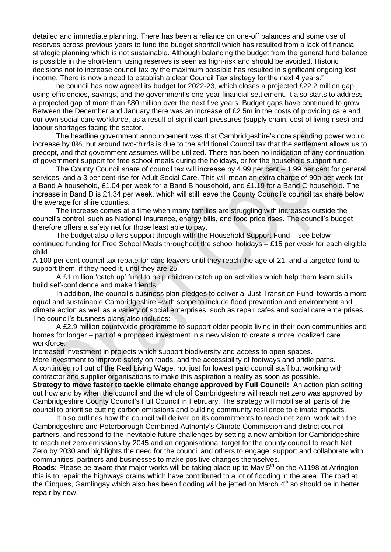detailed and immediate planning. There has been a reliance on one-off balances and some use of reserves across previous years to fund the budget shortfall which has resulted from a lack of financial strategic planning which is not sustainable. Although balancing the budget from the general fund balance is possible in the short-term, using reserves is seen as high-risk and should be avoided. Historic decisions not to increase council tax by the maximum possible has resulted in significant ongoing lost income. There is now a need to establish a clear Council Tax strategy for the next 4 years."

he council has now agreed its budget for 2022-23, which closes a projected £22.2 million gap using efficiencies, savings, and the government's one-year financial settlement. It also starts to address a projected gap of more than £80 million over the next five years. Budget gaps have continued to grow. Between the December and January there was an increase of £2.5m in the costs of providing care and our own social care workforce, as a result of significant pressures (supply chain, cost of living rises) and labour shortages facing the sector.

The headline government announcement was that Cambridgeshire's core spending power would increase by 8%, but around two-thirds is due to the additional Council tax that the settlement allows us to precept, and that government assumes will be utilized. There has been no indication of any continuation of government support for free school meals during the holidays, or for the household support fund.

The County Council share of council tax will increase by 4.99 per cent – 1.99 per cent for general services, and a 3 per cent rise for Adult Social Care. This will mean an extra charge of 90p per week for a Band A household, £1.04 per week for a Band B household, and £1.19 for a Band C household. The increase in Band D is £1.34 per week, which will still leave the County Council's council tax share below the average for shire counties.

The increase comes at a time when many families are struggling with increases outside the council's control, such as National Insurance, energy bills, and food price rises. The council's budget therefore offers a safety net for those least able to pay.

The budget also offers support through with the Household Support Fund – see below – continued funding for Free School Meals throughout the school holidays – £15 per week for each eligible child.

A 100 per cent council tax rebate for care leavers until they reach the age of 21, and a targeted fund to support them, if they need it, until they are 25.

A £1 million 'catch up' fund to help children catch up on activities which help them learn skills, build self-confidence and make friends.

In addition, the council's business plan pledges to deliver a 'Just Transition Fund' towards a more equal and sustainable Cambridgeshire –with scope to include flood prevention and environment and climate action as well as a variety of social enterprises, such as repair cafes and social care enterprises. The council's business plans also includes:

A £2.9 million countywide programme to support older people living in their own communities and homes for longer – part of a proposed investment in a new vision to create a more localized care workforce.

Increased investment in projects which support biodiversity and access to open spaces.

More investment to improve safety on roads, and the accessibility of footways and bridle paths. A continued roll out of the Real Living Wage, not just for lowest paid council staff but working with contractor and supplier organisations to make this aspiration a reality as soon as possible.

**Strategy to move faster to tackle climate change approved by Full Council:** An action plan setting out how and by when the council and the whole of Cambridgeshire will reach net zero was approved by Cambridgeshire County Council's Full Council in February. The strategy will mobilise all parts of the council to prioritise cutting carbon emissions and building community resilience to climate impacts.

It also outlines how the council will deliver on its commitments to reach net zero, work with the Cambridgeshire and Peterborough Combined Authority's Climate Commission and district council partners, and respond to the inevitable future challenges by setting a new ambition for Cambridgeshire to reach net zero emissions by 2045 and an organisational target for the county council to reach Net Zero by 2030 and highlights the need for the council and others to engage, support and collaborate with communities, partners and businesses to make positive changes themselves.

**Roads:** Please be aware that major works will be taking place up to May 5<sup>th</sup> on the A1198 at Arrington – this is to repair the highways drains which have contributed to a lot of flooding in the area. The road at the Cinques, Gamlingay which also has been flooding will be jetted on March  $4<sup>th</sup>$  so should be in better repair by now.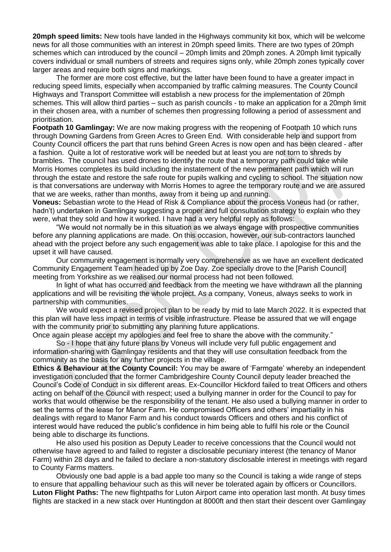**20mph speed limits:** New tools have landed in the Highways community kit box, which will be welcome news for all those communities with an interest in 20mph speed limits. There are two types of 20mph schemes which can introduced by the council – 20mph limits and 20mph zones. A 20mph limit typically covers individual or small numbers of streets and requires signs only, while 20mph zones typically cover larger areas and require both signs and markings.

The former are more cost effective, but the latter have been found to have a greater impact in reducing speed limits, especially when accompanied by traffic calming measures. The County Council Highways and Transport Committee will establish a new process for the implementation of 20mph schemes. This will allow third parties – such as parish councils - to make an application for a 20mph limit in their chosen area, with a number of schemes then progressing following a period of assessment and prioritisation.

**Footpath 10 Gamlingay:** We are now making progress with the reopening of Footpath 10 which runs through Downing Gardens from Green Acres to Green End. With considerable help and support from County Council officers the part that runs behind Green Acres is now open and has been cleared - after a fashion. Quite a lot of restorative work will be needed but at least you are not torn to shreds by brambles. The council has used drones to identify the route that a temporary path could take while Morris Homes completes its build including the instatement of the new permanent path which will run through the estate and restore the safe route for pupils walking and cycling to school. The situation now is that conversations are underway with Morris Homes to agree the temporary route and we are assured that we are weeks, rather than months, away from it being up and running.

**Voneus:** Sebastian wrote to the Head of Risk & Compliance about the process Voneus had (or rather, hadn't) undertaken in Gamlingay suggesting a proper and full consultation strategy to explain who they were, what they sold and how it worked. I have had a very helpful reply as follows:

"We would not normally be in this situation as we always engage with prospective communities before any planning applications are made. On this occasion, however, our sub-contractors launched ahead with the project before any such engagement was able to take place. I apologise for this and the upset it will have caused.

Our community engagement is normally very comprehensive as we have an excellent dedicated Community Engagement Team headed up by Zoe Day. Zoe specially drove to the [Parish Council] meeting from Yorkshire as we realised our normal process had not been followed.

In light of what has occurred and feedback from the meeting we have withdrawn all the planning applications and will be revisiting the whole project. As a company, Voneus, always seeks to work in partnership with communities.

We would expect a revised project plan to be ready by mid to late March 2022. It is expected that this plan will have less impact in terms of visible infrastructure. Please be assured that we will engage with the community prior to submitting any planning future applications.

Once again please accept my apologies and feel free to share the above with the community." So - I hope that any future plans by Voneus will include very full public engagement and information-sharing with Gamlingay residents and that they will use consultation feedback from the community as the basis for any further projects in the village.

**Ethics & Behaviour at the County Council:** You may be aware of 'Farmgate' whereby an independent investigation concluded that the former Cambridgeshire County Council deputy leader breached the Council's Code of Conduct in six different areas. Ex-Councillor Hickford failed to treat Officers and others acting on behalf of the Council with respect; used a bullying manner in order for the Council to pay for works that would otherwise be the responsibility of the tenant. He also used a bullying manner in order to set the terms of the lease for Manor Farm. He compromised Officers and others' impartiality in his dealings with regard to Manor Farm and his conduct towards Officers and others and his conflict of interest would have reduced the public's confidence in him being able to fulfil his role or the Council being able to discharge its functions.

He also used his position as Deputy Leader to receive concessions that the Council would not otherwise have agreed to and failed to register a disclosable pecuniary interest (the tenancy of Manor Farm) within 28 days and he failed to declare a non-statutory disclosable interest in meetings with regard to County Farms matters.

Obviously one bad apple is a bad apple too many so the Council is taking a wide range of steps to ensure that appalling behaviour such as this will never be tolerated again by officers or Councillors. **Luton Flight Paths:** The new flightpaths for Luton Airport came into operation last month. At busy times flights are stacked in a new stack over Huntingdon at 8000ft and then start their descent over Gamlingay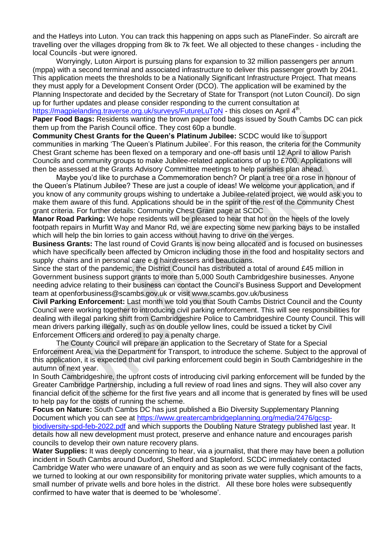and the Hatleys into Luton. You can track this happening on apps such as PlaneFinder. So aircraft are travelling over the villages dropping from 8k to 7k feet. We all objected to these changes - including the local Councils -but were ignored.

Worryingly, Luton Airport is pursuing plans for expansion to 32 million passengers per annum (mppa) with a second terminal and associated infrastructure to deliver this passenger growth by 2041. This application meets the thresholds to be a Nationally Significant Infrastructure Project. That means they must apply for a Development Consent Order (DCO). The application will be examined by the Planning Inspectorate and decided by the Secretary of State for Transport (not Luton Council). Do sign up for further updates and please consider responding to the current consultation at <https://magpielanding.traverse.org.uk/surveys/FutureLuToN> - this closes on April 4<sup>th</sup>.

**Paper Food Bags:** Residents wanting the brown paper food bags issued by South Cambs DC can pick them up from the Parish Council office. They cost 60p a bundle.

**Community Chest Grants for the Queen's Platinum Jubilee:** SCDC would like to support communities in marking 'The Queen's Platinum Jubilee'. For this reason, the criteria for the Community Chest Grant scheme has been flexed on a temporary and one-off basis until 12 April to allow Parish Councils and community groups to make Jubilee-related applications of up to £700. Applications will then be assessed at the Grants Advisory Committee meetings to help parishes plan ahead.

Maybe you'd like to purchase a Commemoration bench? Or plant a tree or a rose in honour of the Queen's Platinum Jubilee? These are just a couple of ideas! We welcome your application, and if you know of any community groups wishing to undertake a Jubilee-related project, we would ask you to make them aware of this fund. Applications should be in the spirit of the rest of the Community Chest grant criteria. For further details: Community Chest Grant page at SCDC

**Manor Road Parking:** We hope residents will be pleased to hear that hot on the heels of the lovely footpath repairs in Murfitt Way and Manor Rd, we are expecting some new parking bays to be installed which will help the bin lorries to gain access without having to drive on the verges.

**Business Grants:** The last round of Covid Grants is now being allocated and is focused on businesses which have specifically been affected by Omicron including those in the food and hospitality sectors and supply chains and in personal care e.g hairdressers and beauticians.

Since the start of the pandemic, the District Council has distributed a total of around £45 million in Government business support grants to more than 5,000 South Cambridgeshire businesses. Anyone needing advice relating to their business can contact the Council's Business Support and Development team at openforbusiness@scambs.gov.uk or visit www.scambs.gov.uk/business

**Civil Parking Enforcement:** Last month we told you that South Cambs District Council and the County Council were working together to introducing civil parking enforcement. This will see responsibilities for dealing with illegal parking shift from Cambridgeshire Police to Cambridgeshire County Council. This will mean drivers parking illegally, such as on double yellow lines, could be issued a ticket by Civil Enforcement Officers and ordered to pay a penalty charge.

The County Council will prepare an application to the Secretary of State for a Special Enforcement Area, via the Department for Transport, to introduce the scheme. Subject to the approval of this application, it is expected that civil parking enforcement could begin in South Cambridgeshire in the autumn of next year.

In South Cambridgeshire, the upfront costs of introducing civil parking enforcement will be funded by the Greater Cambridge Partnership, including a full review of road lines and signs. They will also cover any financial deficit of the scheme for the first five years and all income that is generated by fines will be used to help pay for the costs of running the scheme.

**Focus on Nature:** South Cambs DC has just published a Bio Diversity Supplementary Planning Document which you can see at [https://www.greatercambridgeplanning.org/media/2476/gcsp](https://www.greatercambridgeplanning.org/media/2476/gcsp-biodiversity-spd-feb-2022.pdf)[biodiversity-spd-feb-2022.pdf](https://www.greatercambridgeplanning.org/media/2476/gcsp-biodiversity-spd-feb-2022.pdf) and which supports the Doubling Nature Strategy published last year. It details how all new development must protect, preserve and enhance nature and encourages parish councils to develop their own nature recovery plans.

Water Supplies: It was deeply concerning to hear, via a journalist, that there may have been a pollution incident in South Cambs around Duxford, Shelford and Stapleford. SCDC immediately contacted Cambridge Water who were unaware of an enquiry and as soon as we were fully cognisant of the facts, we turned to looking at our own responsibility for monitoring private water supplies, which amounts to a small number of private wells and bore holes in the district. All these bore holes were subsequently confirmed to have water that is deemed to be 'wholesome'.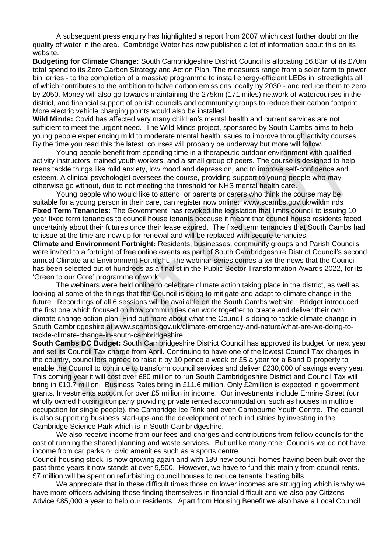A subsequent press enquiry has highlighted a report from 2007 which cast further doubt on the quality of water in the area. Cambridge Water has now published a lot of information about this on its website.

**Budgeting for Climate Change:** South Cambridgeshire District Council is allocating £6.83m of its £70m total spend to its Zero Carbon Strategy and Action Plan. The measures range from a solar farm to power bin lorries - to the completion of a massive programme to install energy-efficient LEDs in streetlights all of which contributes to the ambition to halve carbon emissions locally by 2030 - and reduce them to zero by 2050. Money will also go towards maintaining the 275km (171 miles) network of watercourses in the district, and financial support of parish councils and community groups to reduce their carbon footprint. More electric vehicle charging points would also be installed.

**Wild Minds:** Covid has affected very many children's mental health and current services are not sufficient to meet the urgent need. The Wild Minds project, sponsored by South Cambs aims to help young people experiencing mild to moderate mental health issues to improve through activity courses. By the time you read this the latest courses will probably be underway but more will follow.

Young people benefit from spending time in a therapeutic outdoor environment with qualified activity instructors, trained youth workers, and a small group of peers. The course is designed to help teens tackle things like mild anxiety, low mood and depression, and to improve self-confidence and esteem. A clinical psychologist oversees the course, providing support to young people who may otherwise go without, due to not meeting the threshold for NHS mental health care.

Young people who would like to attend, or parents or carers who think the course may be suitable for a young person in their care, can register now online: www.scambs.gov.uk/wildminds **Fixed Term Tenancies:** The Government has revoked the legislation that limits council to issuing 10 year fixed term tenancies to council house tenants because it meant that council house residents faced uncertainly about their futures once their lease expired. The fixed term tenancies that South Cambs had to issue at the time are now up for renewal and will be replaced with secure tenancies.

**Climate and Environment Fortnight:** Residents, businesses, community groups and Parish Councils were invited to a fortnight of free online events as part of South Cambridgeshire District Council's second annual Climate and Environment Fortnight. The webinar series comes after the news that the Council has been selected out of hundreds as a finalist in the Public Sector Transformation Awards 2022, for its 'Green to our Core' programme of work.

The webinars were held online to celebrate climate action taking place in the district, as well as looking at some of the things that the Council is doing to mitigate and adapt to climate change in the future. Recordings of all 6 sessions will be available on the South Cambs website. Bridget introduced the first one which focused on how communities can work together to create and deliver their own climate change action plan. Find out more about what the Council is doing to tackle climate change in South Cambridgeshire at www.scambs.gov.uk/climate-emergency-and-nature/what-are-we-doing-totackle-climate-change-in-south-cambridgeshire

**South Cambs DC Budget:** South Cambridgeshire District Council has approved its budget for next year and set its Council Tax charge from April. Continuing to have one of the lowest Council Tax charges in the country, councillors agreed to raise it by 10 pence a week or £5 a year for a Band D property to enable the Council to continue to transform council services and deliver £230,000 of savings every year. This coming year it will cost over £80 million to run South Cambridgeshire District and Council Tax will bring in £10.7 million. Business Rates bring in £11.6 million. Only £2million is expected in government grants. Investments account for over £5 million in income. Our investments include Ermine Street (our wholly owned housing company providing private rented accommodation, such as houses in multiple occupation for single people), the Cambridge Ice Rink and even Cambourne Youth Centre. The council is also supporting business start-ups and the development of tech industries by investing in the Cambridge Science Park which is in South Cambridgeshire.

We also receive income from our fees and charges and contributions from fellow councils for the cost of running the shared planning and waste services. But unlike many other Councils we do not have income from car parks or civic amenities such as a sports centre.

Council housing stock, is now growing again and with 189 new council homes having been built over the past three years it now stands at over 5,500. However, we have to fund this mainly from council rents. £7 million will be spent on refurbishing council houses to reduce tenants' heating bills.

We appreciate that in these difficult times those on lower incomes are struggling which is why we have more officers advising those finding themselves in financial difficult and we also pay Citizens Advice £85,000 a year to help our residents. Apart from Housing Benefit we also have a Local Council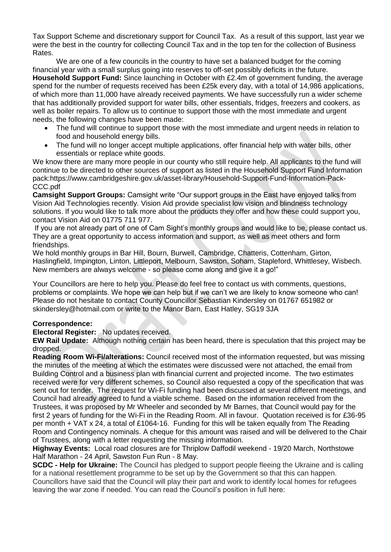Tax Support Scheme and discretionary support for Council Tax. As a result of this support, last year we were the best in the country for collecting Council Tax and in the top ten for the collection of Business Rates.

We are one of a few councils in the country to have set a balanced budget for the coming financial year with a small surplus going into reserves to off-set possibly deficits in the future. **Household Support Fund:** Since launching in October with £2.4m of government funding, the average spend for the number of requests received has been £25k every day, with a total of 14,986 applications, of which more than 11,000 have already received payments. We have successfully run a wider scheme that has additionally provided support for water bills, other essentials, fridges, freezers and cookers, as well as boiler repairs. To allow us to continue to support those with the most immediate and urgent needs, the following changes have been made:

- The fund will continue to support those with the most immediate and urgent needs in relation to food and household energy bills.
- The fund will no longer accept multiple applications, offer financial help with water bills, other essentials or replace white goods.

We know there are many more people in our county who still require help. All applicants to the fund will continue to be directed to other sources of support as listed in the Household Support Fund Information pack:https://www.cambridgeshire.gov.uk/asset-library/Household-Support-Fund-Information-Pack-CCC.pdf

**Camsight Support Groups:** Camsight write "Our support groups in the East have enjoyed talks from Vision Aid Technologies recently. Vision Aid provide specialist low vision and blindness technology solutions. If you would like to talk more about the products they offer and how these could support you, contact Vision Aid on 01775 711 977.

If you are not already part of one of Cam Sight's monthly groups and would like to be, please contact us. They are a great opportunity to access information and support, as well as meet others and form friendships.

We hold monthly groups in Bar Hill, Bourn, Burwell, Cambridge, Chatteris, Cottenham, Girton, Haslingfield, Impington, Linton, Littleport, Melbourn, Sawston, Soham, Stapleford, Whittlesey, Wisbech. New members are always welcome - so please come along and give it a go!"

Your Councillors are here to help you. Please do feel free to contact us with comments, questions, problems or complaints. We hope we can help but if we can't we are likely to know someone who can! Please do not hesitate to contact County Councillor Sebastian Kindersley on 01767 651982 or skindersley@hotmail.com or write to the Manor Barn, East Hatley, SG19 3JA

# **Correspondence:**

**Electoral Register:** No updates received.

**EW Rail Update:** Although nothing certain has been heard, there is speculation that this project may be dropped.

**Reading Room Wi-Fi/alterations:** Council received most of the information requested, but was missing the minutes of the meeting at which the estimates were discussed were not attached, the email from Building Control and a business plan with financial current and projected income. The two estimates received were for very different schemes, so Council also requested a copy of the specification that was sent out for tender. The request for Wi-Fi funding had been discussed at several different meetings, and Council had already agreed to fund a viable scheme. Based on the information received from the Trustees, it was proposed by Mr Wheeler and seconded by Mr Barnes, that Council would pay for the first 2 years of funding for the Wi-Fi in the Reading Room. All in favour. Quotation received is for £36-95 per month + VAT x 24, a total of £1064-16. Funding for this will be taken equally from The Reading Room and Contingency nominals. A cheque for this amount was raised and will be delivered to the Chair of Trustees, along with a letter requesting the missing information.

**Highway Events:** Local road closures are for Thriplow Daffodil weekend - 19/20 March, Northstowe Half Marathon - 24 April, Sawston Fun Run - 8 May.

**SCDC - Help for Ukraine:** The Council has pledged to support people fleeing the Ukraine and is calling for a national resettlement programme to be set up by the Government so that this can happen. Councillors have said that the Council will play their part and work to identify local homes for refugees leaving the war zone if needed. You can read the Council's position in full here: